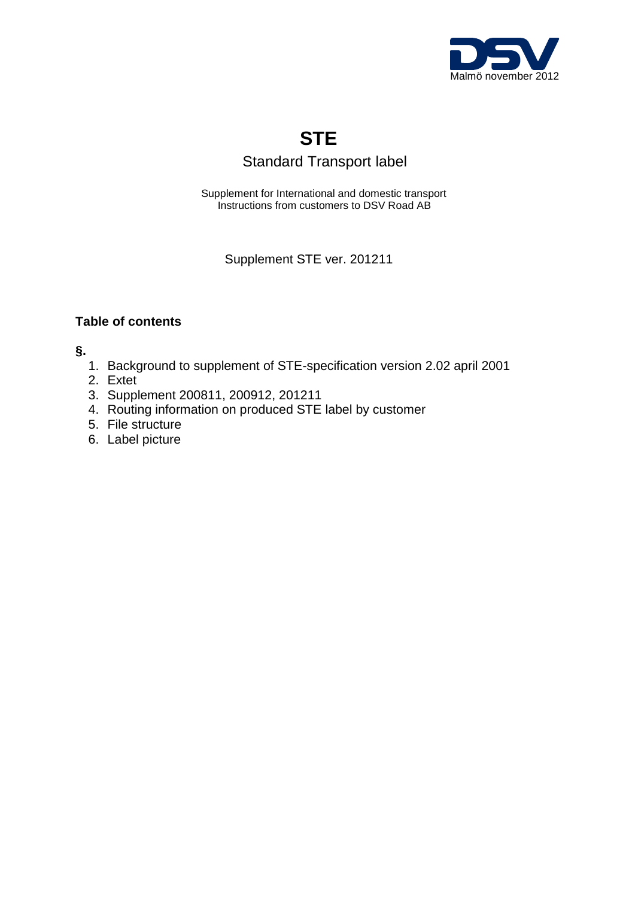

# **STE**

## Standard Transport label

 Supplement for International and domestic transport Instructions from customers to DSV Road AB

Supplement STE ver. 201211

## **Table of contents**

**§.**

- 1. Background to supplement of STE-specification version 2.02 april 2001
- 2. Extet
- 3. Supplement 200811, 200912, 201211
- 4. Routing information on produced STE label by customer
- 5. File structure
- 6. Label picture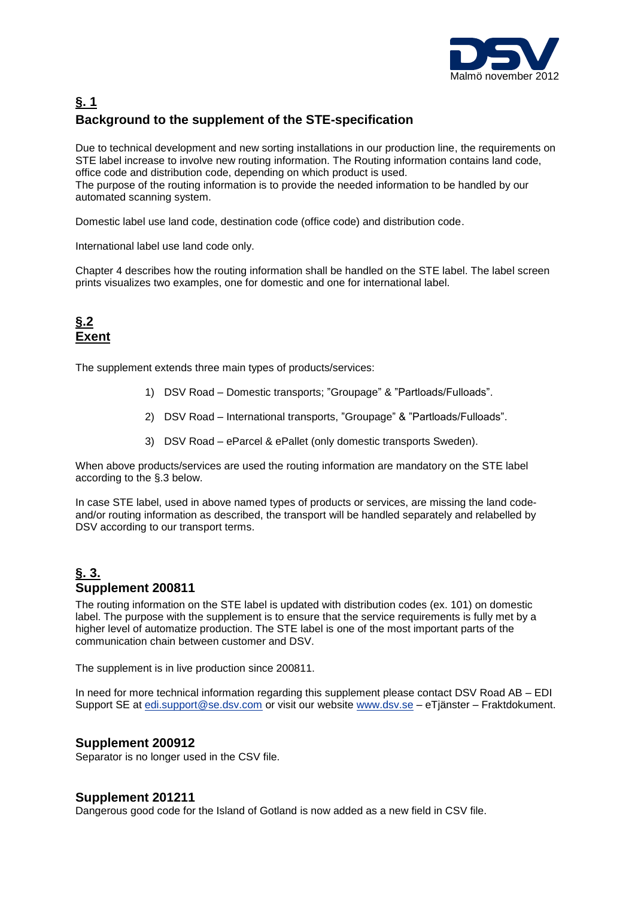

## **§. 1 Background to the supplement of the STE-specification**

Due to technical development and new sorting installations in our production line, the requirements on STE label increase to involve new routing information. The Routing information contains land code, office code and distribution code, depending on which product is used. The purpose of the routing information is to provide the needed information to be handled by our automated scanning system.

Domestic label use land code, destination code (office code) and distribution code.

International label use land code only.

Chapter 4 describes how the routing information shall be handled on the STE label. The label screen prints visualizes two examples, one for domestic and one for international label.

## **§.2 Exent**

The supplement extends three main types of products/services:

- 1) DSV Road Domestic transports; "Groupage" & "Partloads/Fulloads".
- 2) DSV Road International transports, "Groupage" & "Partloads/Fulloads".
- 3) DSV Road eParcel & ePallet (only domestic transports Sweden).

When above products/services are used the routing information are mandatory on the STE label according to the §.3 below.

In case STE label, used in above named types of products or services, are missing the land codeand/or routing information as described, the transport will be handled separately and relabelled by DSV according to our transport terms.

## **§. 3. Supplement 200811**

The routing information on the STE label is updated with distribution codes (ex. 101) on domestic label. The purpose with the supplement is to ensure that the service requirements is fully met by a higher level of automatize production. The STE label is one of the most important parts of the communication chain between customer and DSV.

The supplement is in live production since 200811.

In need for more technical information regarding this supplement please contact DSV Road AB – EDI Support SE at [edi.support@se.dsv.com](mailto:edi.support@se.dsv.com) or visit our website [www.dsv.se](http://www.dsv.se/) – eTjänster – Fraktdokument.

#### **Supplement 200912**

Separator is no longer used in the CSV file.

#### **Supplement 201211**

Dangerous good code for the Island of Gotland is now added as a new field in CSV file.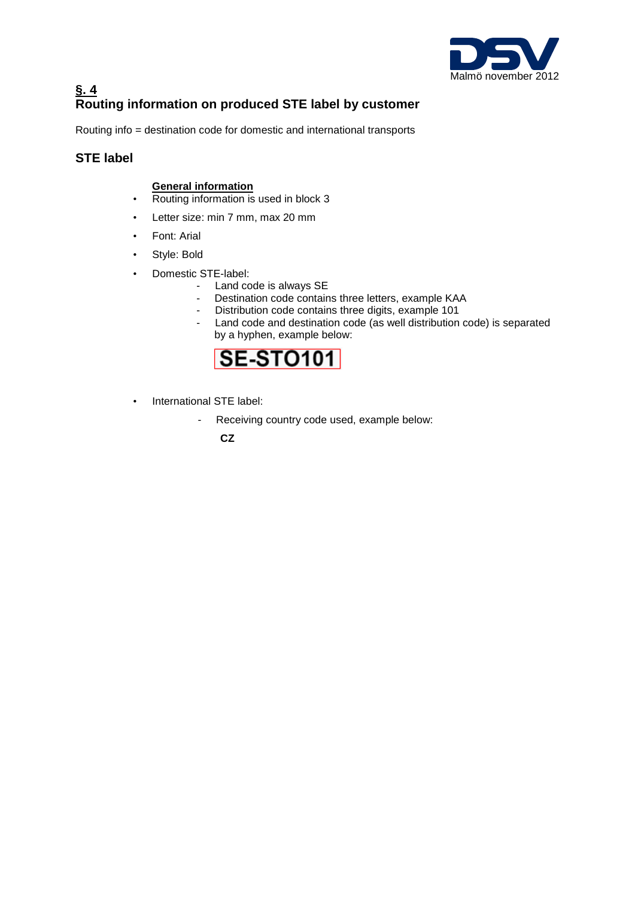

## **§. 4 Routing information on produced STE label by customer**

Routing info = destination code for domestic and international transports

### **STE label**

### **General information**

- Routing information is used in block 3
- Letter size: min 7 mm, max 20 mm
- Font: Arial
- Style: Bold
- Domestic STE-label:
	- Land code is always SE
	- Destination code contains three letters, example KAA
	- Distribution code contains three digits, example 101
	- Land code and destination code (as well distribution code) is separated by a hyphen, example below:



- International STE label:
	- Receiving country code used, example below:

 **CZ**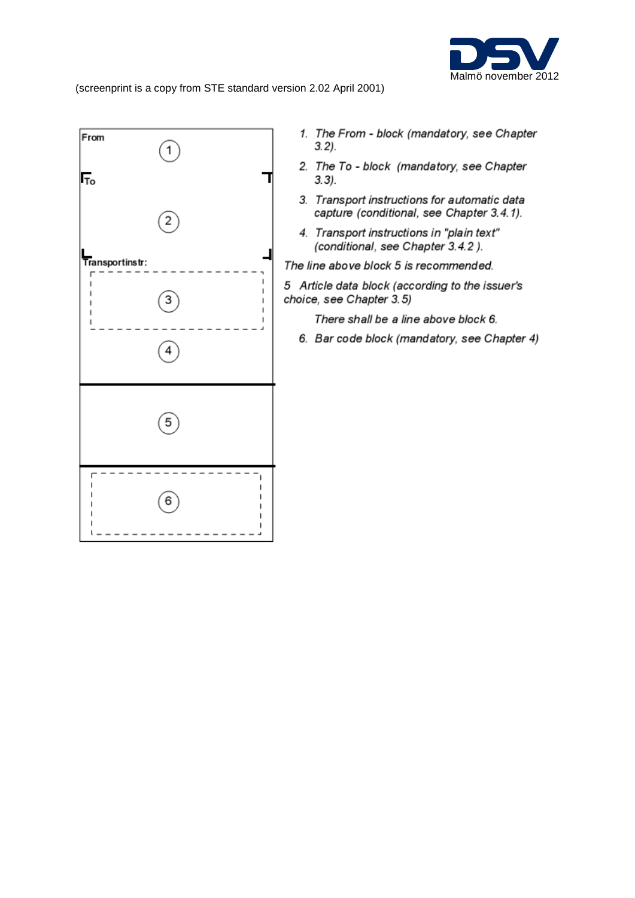

(screenprint is a copy from STE standard version 2.02 April 2001)



- 1. The From block (mandatory, see Chapter  $3.2$ .
- 2. The To block (mandatory, see Chapter  $3.3$ ).
- 3. Transport instructions for automatic data capture (conditional, see Chapter 3.4.1).
- 4. Transport instructions in "plain text" (conditional, see Chapter 3.4.2).
- The line above block 5 is recommended.
- 5 Article data block (according to the issuer's choice, see Chapter 3.5)
	- There shall be a line above block 6.
	- 6. Bar code block (mandatory, see Chapter 4)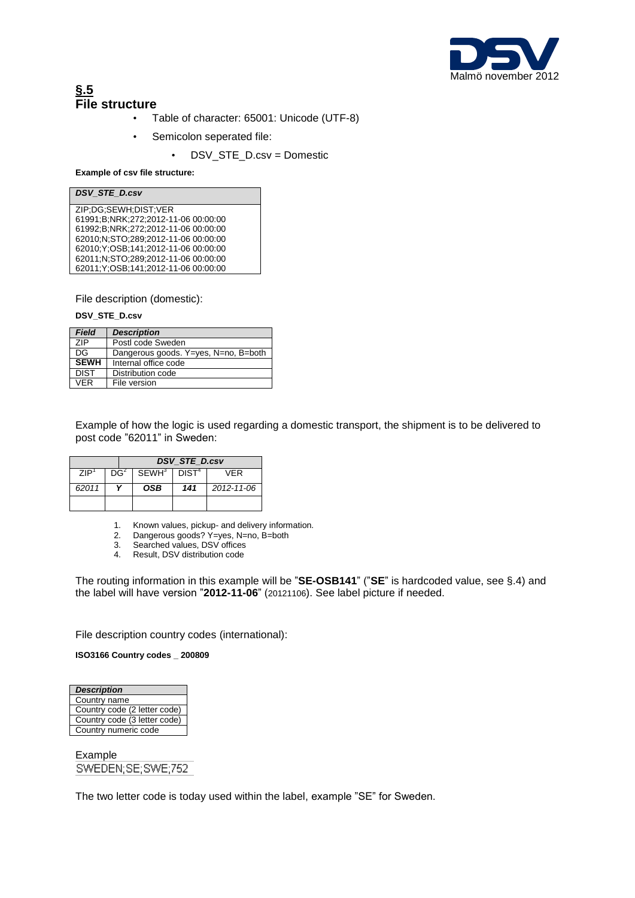

## **§.5 File structure**

- Table of character: 65001: Unicode (UTF-8)
- Semicolon seperated file:
	- DSV\_STE\_D.csv = Domestic

#### **Example of csv file structure:**

| <b>DSV STE D.csv</b>                      |  |
|-------------------------------------------|--|
|                                           |  |
| ZIP:DG:SEWH:DIST:VER                      |  |
| 61991;B;NRK;272;2012-11-06 00:00:00       |  |
| 61992;B;NRK;272;2012-11-06 00:00:00       |  |
| 62010:N:STO:289:2012-11-06 00:00:00       |  |
| 62010; Y: OSB; 141; 2012-11-06 00:00:00   |  |
| 62011;N;STO;289;2012-11-06 00:00:00       |  |
| 62011; Y: OSB: 141: 2012-11-06 00: 00: 00 |  |

File description (domestic):

**DSV\_STE\_D.csv**

| <b>Field</b> | <b>Description</b>                   |
|--------------|--------------------------------------|
| 7IP          | Postl code Sweden                    |
| DG           | Dangerous goods. Y=yes, N=no, B=both |
| <b>SEWH</b>  | Internal office code                 |
| <b>DIST</b>  | Distribution code                    |
| VFR          | File version                         |

Example of how the logic is used regarding a domestic transport, the shipment is to be delivered to post code "62011" in Sweden:

|       |        |                                       | <b>DSV STE D.csv</b> |            |
|-------|--------|---------------------------------------|----------------------|------------|
| ZIP'  | $DG^2$ | SEWH <sup>3</sup>   DIST <sup>4</sup> |                      | VFR        |
| 62011 |        | <b>OSB</b>                            | 141                  | 2012-11-06 |
|       |        |                                       |                      |            |

- 1. Known values, pickup- and delivery information.
- 2. Dangerous goods? Y=yes, N=no, B=both
- 3. Searched values, DSV offices<br>4. Result, DSV distribution code
- Result, DSV distribution code

The routing information in this example will be "**SE-OSB141**" ("**SE**" is hardcoded value, see §.4) and the label will have version "**2012-11-06**" (20121106). See label picture if needed.

File description country codes (international):

**ISO3166 Country codes \_ 200809**

| Country name                 |
|------------------------------|
|                              |
| Country code (2 letter code) |
| Country code (3 letter code) |
| Country numeric code         |

Example<br>SWEDEN;SE;SWE;752

The two letter code is today used within the label, example "SE" for Sweden.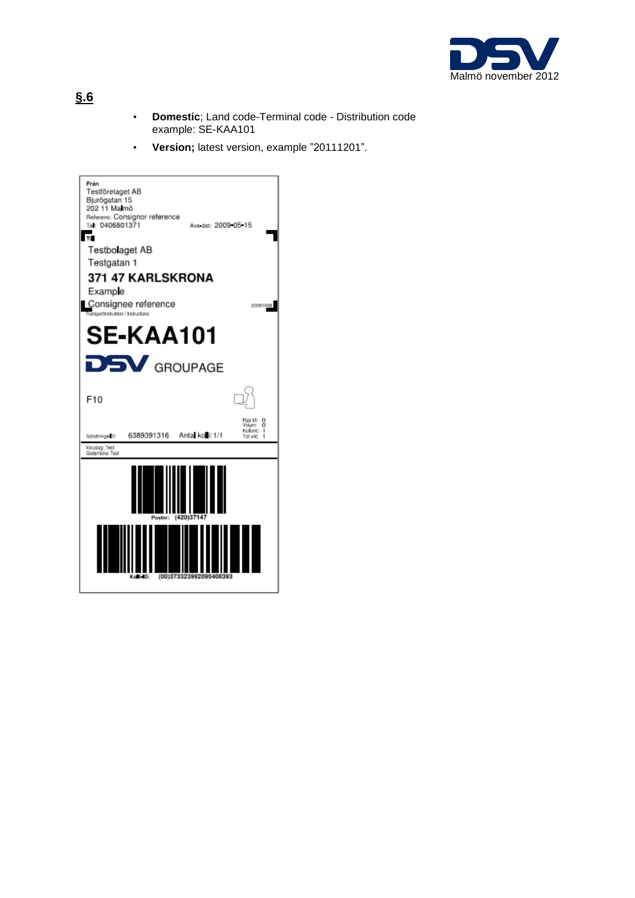

- **Domestic**; Land code-Terminal code Distribution code example: SE-KAA101
- **Version;** latest version, example "20111201".



## **§.6**